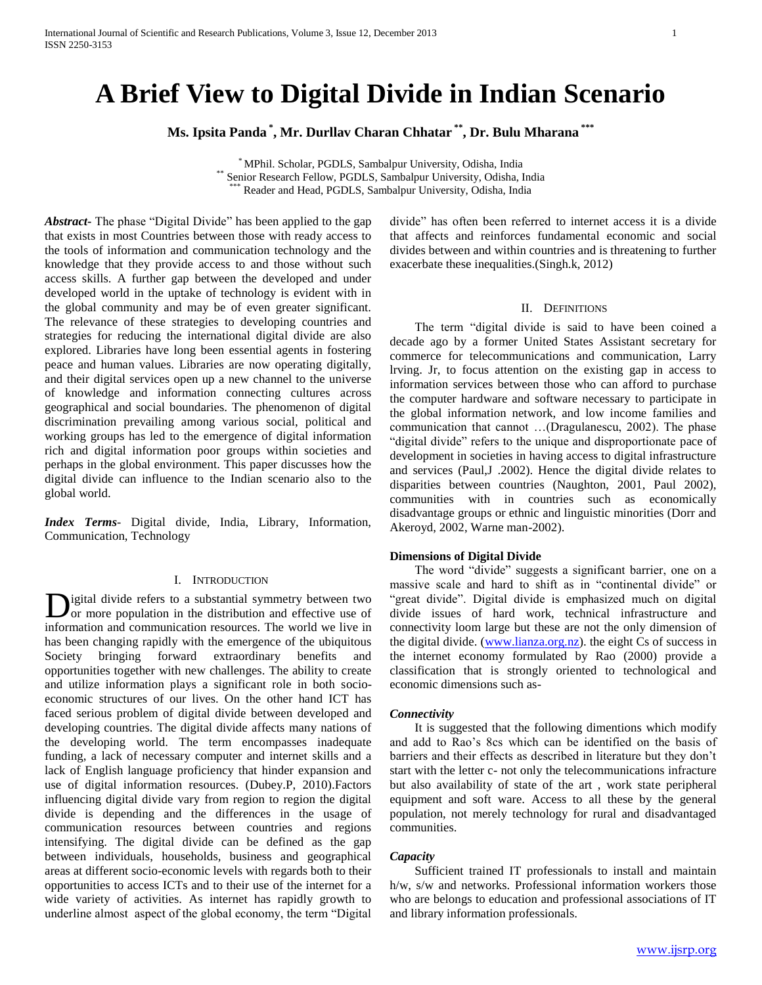# **A Brief View to Digital Divide in Indian Scenario**

**Ms. Ipsita Panda \* , Mr. Durllav Charan Chhatar \*\* , Dr. Bulu Mharana \*\*\***

\* MPhil. Scholar, PGDLS, Sambalpur University, Odisha, India \*\* Senior Research Fellow, PGDLS, Sambalpur University, Odisha, India Reader and Head, PGDLS, Sambalpur University, Odisha, India

*Abstract***-** The phase "Digital Divide" has been applied to the gap that exists in most Countries between those with ready access to the tools of information and communication technology and the knowledge that they provide access to and those without such access skills. A further gap between the developed and under developed world in the uptake of technology is evident with in the global community and may be of even greater significant. The relevance of these strategies to developing countries and strategies for reducing the international digital divide are also explored. Libraries have long been essential agents in fostering peace and human values. Libraries are now operating digitally, and their digital services open up a new channel to the universe of knowledge and information connecting cultures across geographical and social boundaries. The phenomenon of digital discrimination prevailing among various social, political and working groups has led to the emergence of digital information rich and digital information poor groups within societies and perhaps in the global environment. This paper discusses how the digital divide can influence to the Indian scenario also to the global world.

*Index Terms*- Digital divide, India, Library, Information, Communication, Technology

#### I. INTRODUCTION

igital divide refers to a substantial symmetry between two or more population in the distribution and effective use of information and communication resources. The world we live in has been changing rapidly with the emergence of the ubiquitous Society bringing forward extraordinary benefits and opportunities together with new challenges. The ability to create and utilize information plays a significant role in both socioeconomic structures of our lives. On the other hand ICT has faced serious problem of digital divide between developed and developing countries. The digital divide affects many nations of the developing world. The term encompasses inadequate funding, a lack of necessary computer and internet skills and a lack of English language proficiency that hinder expansion and use of digital information resources. (Dubey.P, 2010).Factors influencing digital divide vary from region to region the digital divide is depending and the differences in the usage of communication resources between countries and regions intensifying. The digital divide can be defined as the gap between individuals, households, business and geographical areas at different socio-economic levels with regards both to their opportunities to access ICTs and to their use of the internet for a wide variety of activities. As internet has rapidly growth to underline almost aspect of the global economy, the term "Digital D

divide" has often been referred to internet access it is a divide that affects and reinforces fundamental economic and social divides between and within countries and is threatening to further exacerbate these inequalities.(Singh.k, 2012)

## II. DEFINITIONS

 The term "digital divide is said to have been coined a decade ago by a former United States Assistant secretary for commerce for telecommunications and communication, Larry lrving. Jr, to focus attention on the existing gap in access to information services between those who can afford to purchase the computer hardware and software necessary to participate in the global information network, and low income families and communication that cannot …(Dragulanescu, 2002). The phase "digital divide" refers to the unique and disproportionate pace of development in societies in having access to digital infrastructure and services (Paul,J .2002). Hence the digital divide relates to disparities between countries (Naughton, 2001, Paul 2002), communities with in countries such as economically disadvantage groups or ethnic and linguistic minorities (Dorr and Akeroyd, 2002, Warne man-2002).

#### **Dimensions of Digital Divide**

 The word "divide" suggests a significant barrier, one on a massive scale and hard to shift as in "continental divide" or "great divide". Digital divide is emphasized much on digital divide issues of hard work, technical infrastructure and connectivity loom large but these are not the only dimension of the digital divide. [\(www.lianza.org.nz\)](http://www.lianza.org.nz/). the eight Cs of success in the internet economy formulated by Rao (2000) provide a classification that is strongly oriented to technological and economic dimensions such as-

#### *Connectivity*

 It is suggested that the following dimentions which modify and add to Rao's 8cs which can be identified on the basis of barriers and their effects as described in literature but they don't start with the letter c- not only the telecommunications infracture but also availability of state of the art , work state peripheral equipment and soft ware. Access to all these by the general population, not merely technology for rural and disadvantaged communities.

## *Capacity*

 Sufficient trained IT professionals to install and maintain h/w, s/w and networks. Professional information workers those who are belongs to education and professional associations of IT and library information professionals.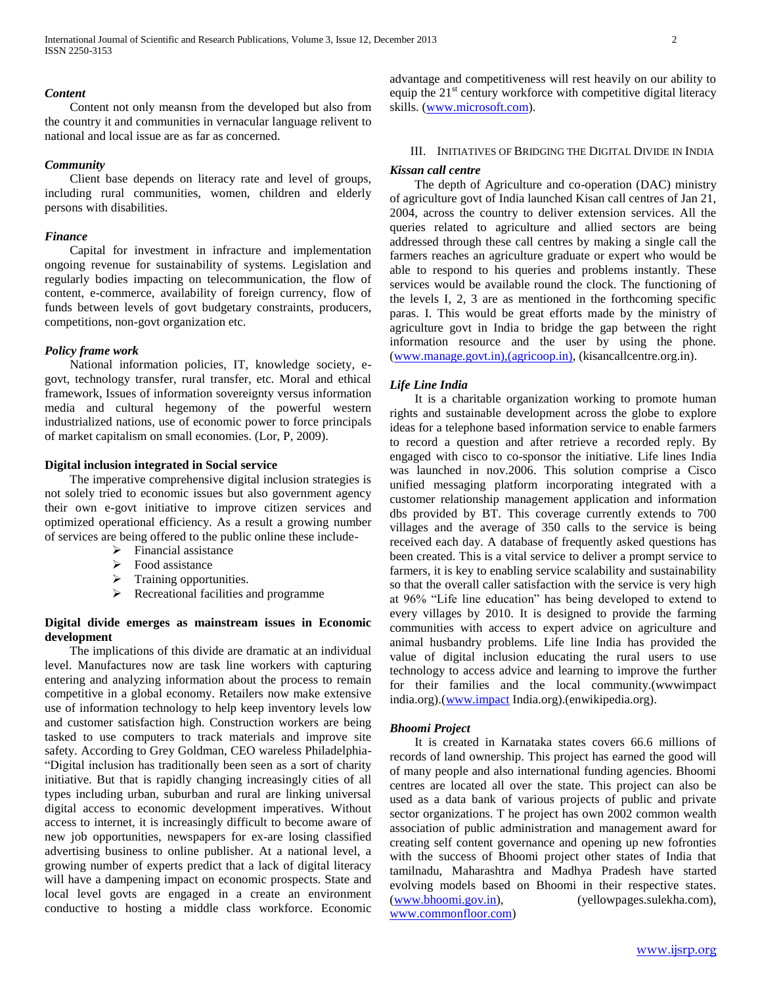## *Content*

 Content not only meansn from the developed but also from the country it and communities in vernacular language relivent to national and local issue are as far as concerned.

#### *Community*

 Client base depends on literacy rate and level of groups, including rural communities, women, children and elderly persons with disabilities.

#### *Finance*

 Capital for investment in infracture and implementation ongoing revenue for sustainability of systems. Legislation and regularly bodies impacting on telecommunication, the flow of content, e-commerce, availability of foreign currency, flow of funds between levels of govt budgetary constraints, producers, competitions, non-govt organization etc.

#### *Policy frame work*

 National information policies, IT, knowledge society, egovt, technology transfer, rural transfer, etc. Moral and ethical framework, Issues of information sovereignty versus information media and cultural hegemony of the powerful western industrialized nations, use of economic power to force principals of market capitalism on small economies. (Lor, P, 2009).

#### **Digital inclusion integrated in Social service**

 The imperative comprehensive digital inclusion strategies is not solely tried to economic issues but also government agency their own e-govt initiative to improve citizen services and optimized operational efficiency. As a result a growing number of services are being offered to the public online these include-

- $\triangleright$  Financial assistance
- $\triangleright$  Food assistance
- > Training opportunities.
- $\triangleright$  Recreational facilities and programme

## **Digital divide emerges as mainstream issues in Economic development**

 The implications of this divide are dramatic at an individual level. Manufactures now are task line workers with capturing entering and analyzing information about the process to remain competitive in a global economy. Retailers now make extensive use of information technology to help keep inventory levels low and customer satisfaction high. Construction workers are being tasked to use computers to track materials and improve site safety. According to Grey Goldman, CEO wareless Philadelphia- "Digital inclusion has traditionally been seen as a sort of charity initiative. But that is rapidly changing increasingly cities of all types including urban, suburban and rural are linking universal digital access to economic development imperatives. Without access to internet, it is increasingly difficult to become aware of new job opportunities, newspapers for ex-are losing classified advertising business to online publisher. At a national level, a growing number of experts predict that a lack of digital literacy will have a dampening impact on economic prospects. State and local level govts are engaged in a create an environment conductive to hosting a middle class workforce. Economic advantage and competitiveness will rest heavily on our ability to equip the  $21<sup>st</sup>$  century workforce with competitive digital literacy skills. [\(www.microsoft.com\)](http://www.microsoft.com/).

# III. INITIATIVES OF BRIDGING THE DIGITAL DIVIDE IN INDIA

#### *Kissan call centre*

 The depth of Agriculture and co-operation (DAC) ministry of agriculture govt of India launched Kisan call centres of Jan 21, 2004, across the country to deliver extension services. All the queries related to agriculture and allied sectors are being addressed through these call centres by making a single call the farmers reaches an agriculture graduate or expert who would be able to respond to his queries and problems instantly. These services would be available round the clock. The functioning of the levels I, 2, 3 are as mentioned in the forthcoming specific paras. I. This would be great efforts made by the ministry of agriculture govt in India to bridge the gap between the right information resource and the user by using the phone. [\(www.manage.govt.in\),\(agricoop.in\),](http://www.manage.govt.in),(agricoop.in)/) (kisancallcentre.org.in).

## *Life Line India*

 It is a charitable organization working to promote human rights and sustainable development across the globe to explore ideas for a telephone based information service to enable farmers to record a question and after retrieve a recorded reply. By engaged with cisco to co-sponsor the initiative. Life lines India was launched in nov.2006. This solution comprise a Cisco unified messaging platform incorporating integrated with a customer relationship management application and information dbs provided by BT. This coverage currently extends to 700 villages and the average of 350 calls to the service is being received each day. A database of frequently asked questions has been created. This is a vital service to deliver a prompt service to farmers, it is key to enabling service scalability and sustainability so that the overall caller satisfaction with the service is very high at 96% "Life line education" has being developed to extend to every villages by 2010. It is designed to provide the farming communities with access to expert advice on agriculture and animal husbandry problems. Life line India has provided the value of digital inclusion educating the rural users to use technology to access advice and learning to improve the further for their families and the local community.(wwwimpact india.org).[\(www.impact](http://www.impact/) India.org).(enwikipedia.org).

#### *Bhoomi Project*

 It is created in Karnataka states covers 66.6 millions of records of land ownership. This project has earned the good will of many people and also international funding agencies. Bhoomi centres are located all over the state. This project can also be used as a data bank of various projects of public and private sector organizations. T he project has own 2002 common wealth association of public administration and management award for creating self content governance and opening up new fofronties with the success of Bhoomi project other states of India that tamilnadu, Maharashtra and Madhya Pradesh have started evolving models based on Bhoomi in their respective states. [\(www.bhoomi.gov.in\)](http://www.bhoomi.gov.in/), (yellowpages.sulekha.com), [www.commonfloor.com\)](http://www.commonfloor.com/)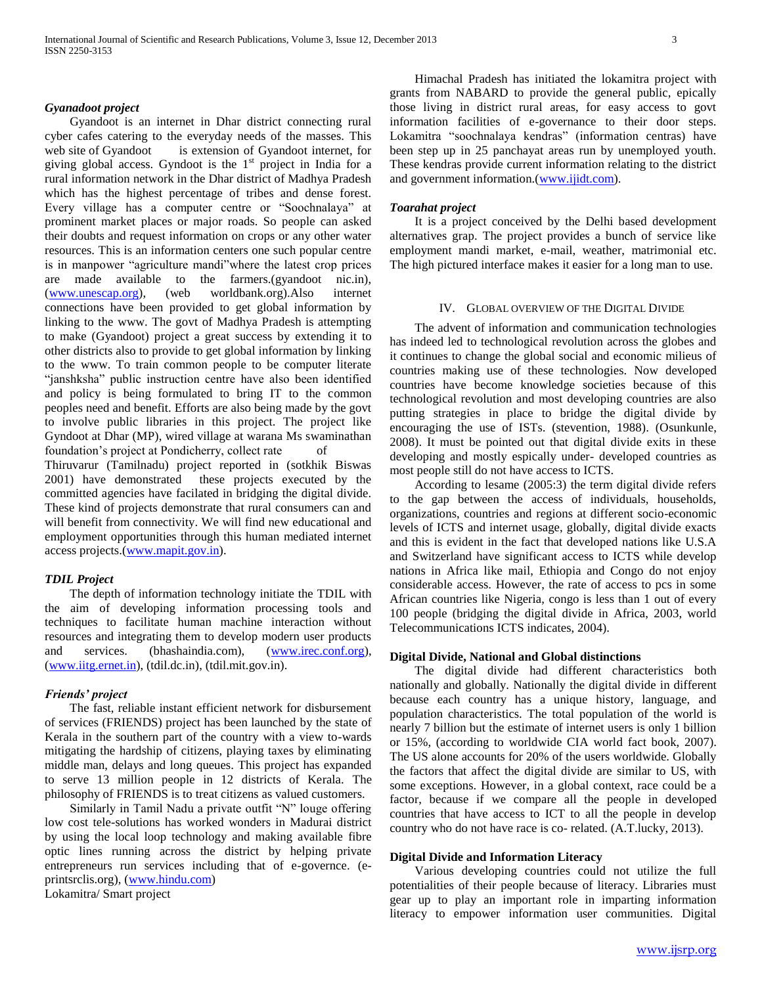## *Gyanadoot project*

 Gyandoot is an internet in Dhar district connecting rural cyber cafes catering to the everyday needs of the masses. This web site of Gyandoot is extension of Gyandoot internet, for giving global access. Gyndoot is the  $1<sup>st</sup>$  project in India for a rural information network in the Dhar district of Madhya Pradesh which has the highest percentage of tribes and dense forest. Every village has a computer centre or "Soochnalaya" at prominent market places or major roads. So people can asked their doubts and request information on crops or any other water resources. This is an information centers one such popular centre is in manpower "agriculture mandi"where the latest crop prices are made available to the farmers.(gyandoot nic.in), [\(www.unescap.org\)](http://www.unescap.org/), (web worldbank.org).Also internet connections have been provided to get global information by linking to the www. The govt of Madhya Pradesh is attempting to make (Gyandoot) project a great success by extending it to other districts also to provide to get global information by linking to the www. To train common people to be computer literate "janshksha" public instruction centre have also been identified and policy is being formulated to bring IT to the common peoples need and benefit. Efforts are also being made by the govt to involve public libraries in this project. The project like Gyndoot at Dhar (MP), wired village at warana Ms swaminathan foundation's project at Pondicherry, collect rate of

Thiruvarur (Tamilnadu) project reported in (sotkhik Biswas 2001) have demonstrated these projects executed by the committed agencies have facilated in bridging the digital divide. These kind of projects demonstrate that rural consumers can and will benefit from connectivity. We will find new educational and employment opportunities through this human mediated internet access projects.[\(www.mapit.gov.in\)](http://www.mapit.gov.in/).

## *TDIL Project*

 The depth of information technology initiate the TDIL with the aim of developing information processing tools and techniques to facilitate human machine interaction without resources and integrating them to develop modern user products and services. (bhashaindia.com), [\(www.irec.conf.org\)](http://www.irec.conf.org/), [\(www.iitg.ernet.in\)](http://www.iitg.ernet.in/), (tdil.dc.in), (tdil.mit.gov.in).

## *Friends' project*

 The fast, reliable instant efficient network for disbursement of services (FRIENDS) project has been launched by the state of Kerala in the southern part of the country with a view to-wards mitigating the hardship of citizens, playing taxes by eliminating middle man, delays and long queues. This project has expanded to serve 13 million people in 12 districts of Kerala. The philosophy of FRIENDS is to treat citizens as valued customers.

 Similarly in Tamil Nadu a private outfit "N" louge offering low cost tele-solutions has worked wonders in Madurai district by using the local loop technology and making available fibre optic lines running across the district by helping private entrepreneurs run services including that of e-governce. (eprintsrclis.org), [\(www.hindu.com\)](http://www.hindu.com/)

Lokamitra/ Smart project

 Himachal Pradesh has initiated the lokamitra project with grants from NABARD to provide the general public, epically those living in district rural areas, for easy access to govt information facilities of e-governance to their door steps. Lokamitra "soochnalaya kendras" (information centras) have been step up in 25 panchayat areas run by unemployed youth. These kendras provide current information relating to the district and government information.[\(www.ijidt.com\)](http://www.ijidt.com/).

#### *Toarahat project*

 It is a project conceived by the Delhi based development alternatives grap. The project provides a bunch of service like employment mandi market, e-mail, weather, matrimonial etc. The high pictured interface makes it easier for a long man to use.

#### IV. GLOBAL OVERVIEW OF THE DIGITAL DIVIDE

 The advent of information and communication technologies has indeed led to technological revolution across the globes and it continues to change the global social and economic milieus of countries making use of these technologies. Now developed countries have become knowledge societies because of this technological revolution and most developing countries are also putting strategies in place to bridge the digital divide by encouraging the use of ISTs. (stevention, 1988). (Osunkunle, 2008). It must be pointed out that digital divide exits in these developing and mostly espically under- developed countries as most people still do not have access to ICTS.

 According to lesame (2005:3) the term digital divide refers to the gap between the access of individuals, households, organizations, countries and regions at different socio-economic levels of ICTS and internet usage, globally, digital divide exacts and this is evident in the fact that developed nations like U.S.A and Switzerland have significant access to ICTS while develop nations in Africa like mail, Ethiopia and Congo do not enjoy considerable access. However, the rate of access to pcs in some African countries like Nigeria, congo is less than 1 out of every 100 people (bridging the digital divide in Africa, 2003, world Telecommunications ICTS indicates, 2004).

# **Digital Divide, National and Global distinctions**

 The digital divide had different characteristics both nationally and globally. Nationally the digital divide in different because each country has a unique history, language, and population characteristics. The total population of the world is nearly 7 billion but the estimate of internet users is only 1 billion or 15%, (according to worldwide CIA world fact book, 2007). The US alone accounts for 20% of the users worldwide. Globally the factors that affect the digital divide are similar to US, with some exceptions. However, in a global context, race could be a factor, because if we compare all the people in developed countries that have access to ICT to all the people in develop country who do not have race is co- related. (A.T.lucky, 2013).

#### **Digital Divide and Information Literacy**

 Various developing countries could not utilize the full potentialities of their people because of literacy. Libraries must gear up to play an important role in imparting information literacy to empower information user communities. Digital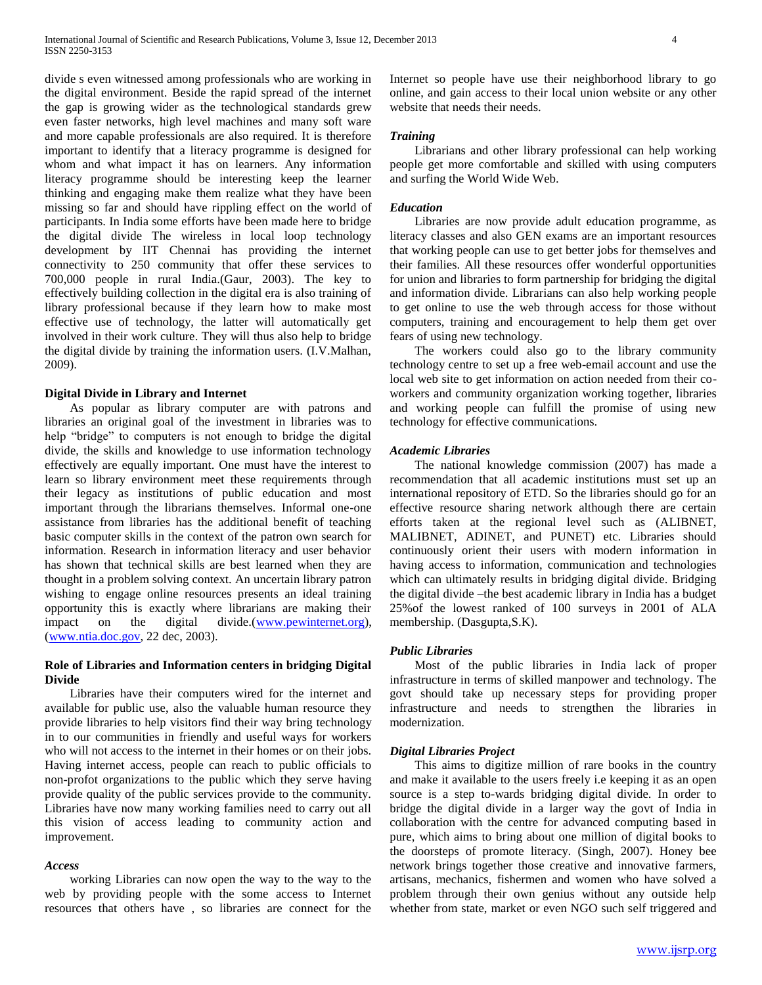divide s even witnessed among professionals who are working in the digital environment. Beside the rapid spread of the internet the gap is growing wider as the technological standards grew even faster networks, high level machines and many soft ware and more capable professionals are also required. It is therefore important to identify that a literacy programme is designed for whom and what impact it has on learners. Any information literacy programme should be interesting keep the learner thinking and engaging make them realize what they have been missing so far and should have rippling effect on the world of participants. In India some efforts have been made here to bridge the digital divide The wireless in local loop technology development by IIT Chennai has providing the internet connectivity to 250 community that offer these services to 700,000 people in rural India.(Gaur, 2003). The key to effectively building collection in the digital era is also training of library professional because if they learn how to make most effective use of technology, the latter will automatically get involved in their work culture. They will thus also help to bridge the digital divide by training the information users. (I.V.Malhan, 2009).

#### **Digital Divide in Library and Internet**

 As popular as library computer are with patrons and libraries an original goal of the investment in libraries was to help "bridge" to computers is not enough to bridge the digital divide, the skills and knowledge to use information technology effectively are equally important. One must have the interest to learn so library environment meet these requirements through their legacy as institutions of public education and most important through the librarians themselves. Informal one-one assistance from libraries has the additional benefit of teaching basic computer skills in the context of the patron own search for information. Research in information literacy and user behavior has shown that technical skills are best learned when they are thought in a problem solving context. An uncertain library patron wishing to engage online resources presents an ideal training opportunity this is exactly where librarians are making their impact on the digital divide.[\(www.pewinternet.org\)](http://www.pewinternet.org/), [\(www.ntia.doc.gov,](http://www.ntia.doc.gov/) 22 dec, 2003).

## **Role of Libraries and Information centers in bridging Digital Divide**

 Libraries have their computers wired for the internet and available for public use, also the valuable human resource they provide libraries to help visitors find their way bring technology in to our communities in friendly and useful ways for workers who will not access to the internet in their homes or on their jobs. Having internet access, people can reach to public officials to non-profot organizations to the public which they serve having provide quality of the public services provide to the community. Libraries have now many working families need to carry out all this vision of access leading to community action and improvement.

#### *Access*

 working Libraries can now open the way to the way to the web by providing people with the some access to Internet resources that others have , so libraries are connect for the

Internet so people have use their neighborhood library to go online, and gain access to their local union website or any other website that needs their needs.

#### *Training*

 Librarians and other library professional can help working people get more comfortable and skilled with using computers and surfing the World Wide Web.

#### *Education*

 Libraries are now provide adult education programme, as literacy classes and also GEN exams are an important resources that working people can use to get better jobs for themselves and their families. All these resources offer wonderful opportunities for union and libraries to form partnership for bridging the digital and information divide. Librarians can also help working people to get online to use the web through access for those without computers, training and encouragement to help them get over fears of using new technology.

 The workers could also go to the library community technology centre to set up a free web-email account and use the local web site to get information on action needed from their coworkers and community organization working together, libraries and working people can fulfill the promise of using new technology for effective communications.

#### *Academic Libraries*

 The national knowledge commission (2007) has made a recommendation that all academic institutions must set up an international repository of ETD. So the libraries should go for an effective resource sharing network although there are certain efforts taken at the regional level such as (ALIBNET, MALIBNET, ADINET, and PUNET) etc. Libraries should continuously orient their users with modern information in having access to information, communication and technologies which can ultimately results in bridging digital divide. Bridging the digital divide –the best academic library in India has a budget 25%of the lowest ranked of 100 surveys in 2001 of ALA membership. (Dasgupta,S.K).

## *Public Libraries*

 Most of the public libraries in India lack of proper infrastructure in terms of skilled manpower and technology. The govt should take up necessary steps for providing proper infrastructure and needs to strengthen the libraries in modernization.

## *Digital Libraries Project*

 This aims to digitize million of rare books in the country and make it available to the users freely i.e keeping it as an open source is a step to-wards bridging digital divide. In order to bridge the digital divide in a larger way the govt of India in collaboration with the centre for advanced computing based in pure, which aims to bring about one million of digital books to the doorsteps of promote literacy. (Singh, 2007). Honey bee network brings together those creative and innovative farmers, artisans, mechanics, fishermen and women who have solved a problem through their own genius without any outside help whether from state, market or even NGO such self triggered and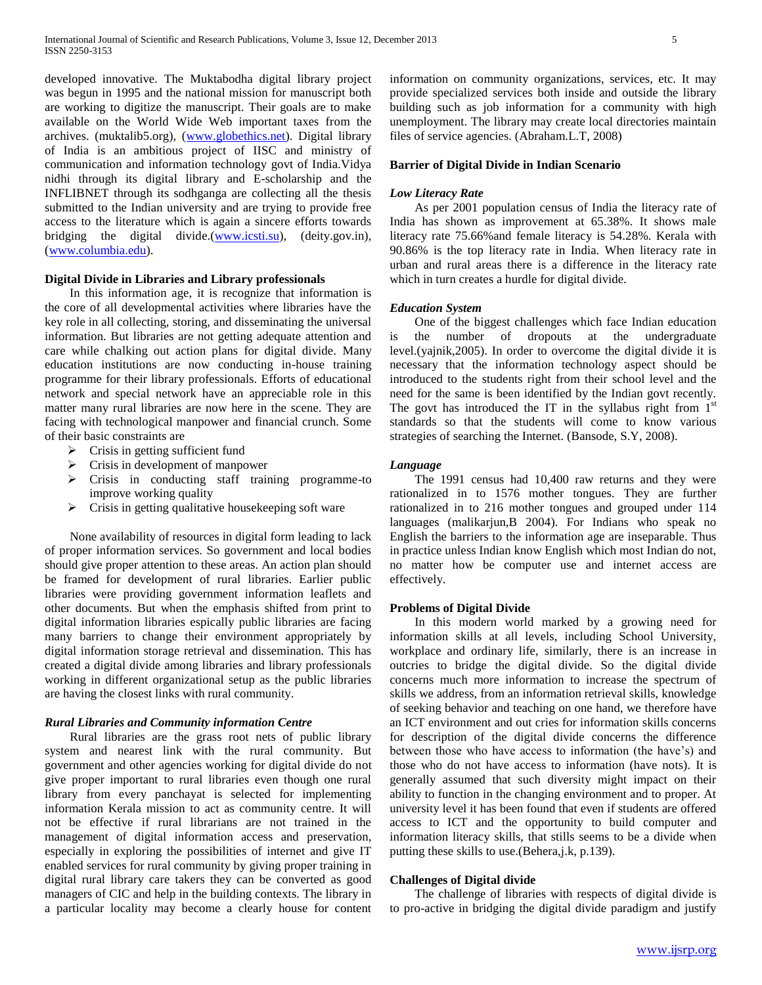developed innovative. The Muktabodha digital library project was begun in 1995 and the national mission for manuscript both are working to digitize the manuscript. Their goals are to make available on the World Wide Web important taxes from the archives. (muktalib5.org), [\(www.globethics.net\)](http://www.globethics.net/). Digital library of India is an ambitious project of IISC and ministry of communication and information technology govt of India.Vidya nidhi through its digital library and E-scholarship and the INFLIBNET through its sodhganga are collecting all the thesis submitted to the Indian university and are trying to provide free access to the literature which is again a sincere efforts towards bridging the digital divide.[\(www.icsti.su\)](http://www.icsti.su/), (deity.gov.in), [\(www.columbia.edu\)](http://www.columbia.edu/).

# **Digital Divide in Libraries and Library professionals**

 In this information age, it is recognize that information is the core of all developmental activities where libraries have the key role in all collecting, storing, and disseminating the universal information. But libraries are not getting adequate attention and care while chalking out action plans for digital divide. Many education institutions are now conducting in-house training programme for their library professionals. Efforts of educational network and special network have an appreciable role in this matter many rural libraries are now here in the scene. They are facing with technological manpower and financial crunch. Some of their basic constraints are

- $\triangleright$  Crisis in getting sufficient fund
- $\triangleright$  Crisis in development of manpower
- Crisis in conducting staff training programme-to improve working quality
- $\triangleright$  Crisis in getting qualitative house keeping soft ware

 None availability of resources in digital form leading to lack of proper information services. So government and local bodies should give proper attention to these areas. An action plan should be framed for development of rural libraries. Earlier public libraries were providing government information leaflets and other documents. But when the emphasis shifted from print to digital information libraries espically public libraries are facing many barriers to change their environment appropriately by digital information storage retrieval and dissemination. This has created a digital divide among libraries and library professionals working in different organizational setup as the public libraries are having the closest links with rural community.

#### *Rural Libraries and Community information Centre*

 Rural libraries are the grass root nets of public library system and nearest link with the rural community. But government and other agencies working for digital divide do not give proper important to rural libraries even though one rural library from every panchayat is selected for implementing information Kerala mission to act as community centre. It will not be effective if rural librarians are not trained in the management of digital information access and preservation, especially in exploring the possibilities of internet and give IT enabled services for rural community by giving proper training in digital rural library care takers they can be converted as good managers of CIC and help in the building contexts. The library in a particular locality may become a clearly house for content information on community organizations, services, etc. It may provide specialized services both inside and outside the library building such as job information for a community with high unemployment. The library may create local directories maintain files of service agencies. (Abraham.L.T, 2008)

## **Barrier of Digital Divide in Indian Scenario**

#### *Low Literacy Rate*

 As per 2001 population census of India the literacy rate of India has shown as improvement at 65.38%. It shows male literacy rate 75.66%and female literacy is 54.28%. Kerala with 90.86% is the top literacy rate in India. When literacy rate in urban and rural areas there is a difference in the literacy rate which in turn creates a hurdle for digital divide.

#### *Education System*

 One of the biggest challenges which face Indian education is the number of dropouts at the undergraduate level.(yajnik,2005). In order to overcome the digital divide it is necessary that the information technology aspect should be introduced to the students right from their school level and the need for the same is been identified by the Indian govt recently. The govt has introduced the IT in the syllabus right from  $1<sup>st</sup>$ standards so that the students will come to know various strategies of searching the Internet. (Bansode, S.Y, 2008).

#### *Language*

 The 1991 census had 10,400 raw returns and they were rationalized in to 1576 mother tongues. They are further rationalized in to 216 mother tongues and grouped under 114 languages (malikarjun,B 2004). For Indians who speak no English the barriers to the information age are inseparable. Thus in practice unless Indian know English which most Indian do not, no matter how be computer use and internet access are effectively.

## **Problems of Digital Divide**

 In this modern world marked by a growing need for information skills at all levels, including School University, workplace and ordinary life, similarly, there is an increase in outcries to bridge the digital divide. So the digital divide concerns much more information to increase the spectrum of skills we address, from an information retrieval skills, knowledge of seeking behavior and teaching on one hand, we therefore have an ICT environment and out cries for information skills concerns for description of the digital divide concerns the difference between those who have access to information (the have's) and those who do not have access to information (have nots). It is generally assumed that such diversity might impact on their ability to function in the changing environment and to proper. At university level it has been found that even if students are offered access to ICT and the opportunity to build computer and information literacy skills, that stills seems to be a divide when putting these skills to use.(Behera,j.k, p.139).

#### **Challenges of Digital divide**

 The challenge of libraries with respects of digital divide is to pro-active in bridging the digital divide paradigm and justify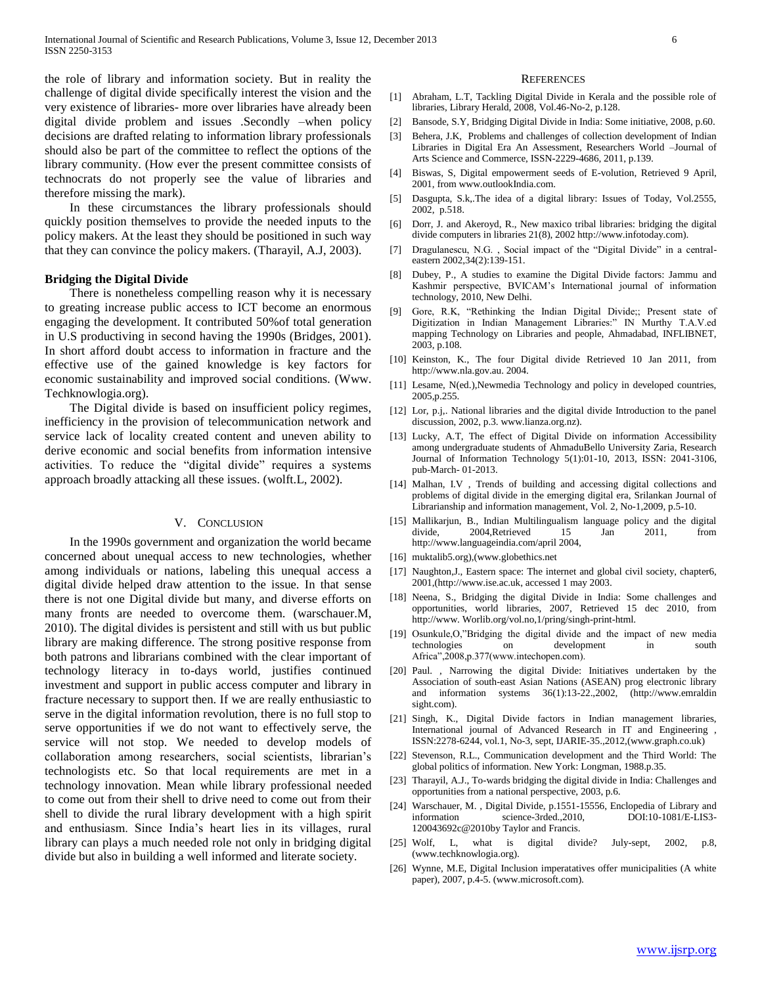the role of library and information society. But in reality the challenge of digital divide specifically interest the vision and the very existence of libraries- more over libraries have already been digital divide problem and issues .Secondly –when policy decisions are drafted relating to information library professionals should also be part of the committee to reflect the options of the library community. (How ever the present committee consists of technocrats do not properly see the value of libraries and therefore missing the mark).

 In these circumstances the library professionals should quickly position themselves to provide the needed inputs to the policy makers. At the least they should be positioned in such way that they can convince the policy makers. (Tharayil, A.J, 2003).

#### **Bridging the Digital Divide**

 There is nonetheless compelling reason why it is necessary to greating increase public access to ICT become an enormous engaging the development. It contributed 50%of total generation in U.S productiving in second having the 1990s (Bridges, 2001). In short afford doubt access to information in fracture and the effective use of the gained knowledge is key factors for economic sustainability and improved social conditions. (Www. Techknowlogia.org).

 The Digital divide is based on insufficient policy regimes, inefficiency in the provision of telecommunication network and service lack of locality created content and uneven ability to derive economic and social benefits from information intensive activities. To reduce the "digital divide" requires a systems approach broadly attacking all these issues. (wolft.L, 2002).

#### V. CONCLUSION

 In the 1990s government and organization the world became concerned about unequal access to new technologies, whether among individuals or nations, labeling this unequal access a digital divide helped draw attention to the issue. In that sense there is not one Digital divide but many, and diverse efforts on many fronts are needed to overcome them. (warschauer.M, 2010). The digital divides is persistent and still with us but public library are making difference. The strong positive response from both patrons and librarians combined with the clear important of technology literacy in to-days world, justifies continued investment and support in public access computer and library in fracture necessary to support then. If we are really enthusiastic to serve in the digital information revolution, there is no full stop to serve opportunities if we do not want to effectively serve, the service will not stop. We needed to develop models of collaboration among researchers, social scientists, librarian's technologists etc. So that local requirements are met in a technology innovation. Mean while library professional needed to come out from their shell to drive need to come out from their shell to divide the rural library development with a high spirit and enthusiasm. Since India's heart lies in its villages, rural library can plays a much needed role not only in bridging digital divide but also in building a well informed and literate society.

#### **REFERENCES**

- [1] Abraham, L.T, Tackling Digital Divide in Kerala and the possible role of libraries, Library Herald, 2008, Vol.46-No-2, p.128.
- [2] Bansode, S.Y, Bridging Digital Divide in India: Some initiative, 2008, p.60.
- [3] Behera, J.K, Problems and challenges of collection development of Indian Libraries in Digital Era An Assessment, Researchers World –Journal of Arts Science and Commerce, ISSN-2229-4686, 2011, p.139.
- [4] Biswas, S, Digital empowerment seeds of E-volution, Retrieved 9 April, 2001, from www.outlookIndia.com.
- [5] Dasgupta, S.k,.The idea of a digital library: Issues of Today, Vol.2555, 2002, p.518.
- [6] Dorr, J. and Akeroyd, R., New maxico tribal libraries: bridging the digital divide computers in libraries 21(8), 2002 http://www.infotoday.com).
- [7] Dragulanescu, N.G., Social impact of the "Digital Divide" in a centraleastern 2002,34(2):139-151.
- [8] Dubey, P., A studies to examine the Digital Divide factors: Jammu and Kashmir perspective, BVICAM's International journal of information technology, 2010, New Delhi.
- [9] Gore, R.K, "Rethinking the Indian Digital Divide;; Present state of Digitization in Indian Management Libraries:" IN Murthy T.A.V.ed mapping Technology on Libraries and people, Ahmadabad, INFLIBNET, 2003, p.108.
- [10] Keinston, K., The four Digital divide Retrieved 10 Jan 2011, from http://www.nla.gov.au. 2004.
- [11] Lesame, N(ed.), Newmedia Technology and policy in developed countries, 2005,p.255.
- [12] Lor, p.j.. National libraries and the digital divide Introduction to the panel discussion, 2002, p.3. www.lianza.org.nz).
- [13] Lucky, A.T, The effect of Digital Divide on information Accessibility among undergraduate students of AhmaduBello University Zaria, Research Journal of Information Technology 5(1):01-10, 2013, ISSN: 2041-3106, pub-March- 01-2013.
- [14] Malhan, I.V , Trends of building and accessing digital collections and problems of digital divide in the emerging digital era, Srilankan Journal of Librarianship and information management, Vol. 2, No-1,2009, p.5-10.
- [15] Mallikarjun, B., Indian Multilingualism language policy and the digital divide, 2004,Retrieved 15 Jan 2011, from http://www.languageindia.com/april 2004,
- [16] muktalib5.org),(www.globethics.net
- [17] Naughton, J., Eastern space: The internet and global civil society, chapter6, 2001,(http://www.ise.ac.uk, accessed 1 may 2003.
- [18] Neena, S., Bridging the digital Divide in India: Some challenges and opportunities, world libraries, 2007, Retrieved 15 dec 2010, from http://www. Worlib.org/vol.no,1/pring/singh-print-html.
- [19] Osunkule,O,"Bridging the digital divide and the impact of new media technologies on development in south Africa",2008,p.377(www.intechopen.com).
- [20] Paul., Narrowing the digital Divide: Initiatives undertaken by the Association of south-east Asian Nations (ASEAN) prog electronic library and information systems 36(1):13-22.,2002, (http://www.emraldin sight.com).
- [21] Singh, K., Digital Divide factors in Indian management libraries, International journal of Advanced Research in IT and Engineering , ISSN:2278-6244, vol.1, No-3, sept, IJARIE-35.,2012,(www.graph.co.uk)
- [22] Stevenson, R.L., Communication development and the Third World: The global politics of information. New York: Longman, 1988.p.35.
- [23] Tharayil, A.J., To-wards bridging the digital divide in India: Challenges and opportunities from a national perspective, 2003, p.6.
- [24] Warschauer, M. , Digital Divide, p.1551-15556, Enclopedia of Library and information science-3rded.,2010, DOI:10-1081/E-LIS3- 120043692c@2010by Taylor and Francis.
- [25] Wolf, L, what is digital divide? July-sept, 2002, p.8, (www.techknowlogia.org).
- [26] Wynne, M.E, Digital Inclusion imperatatives offer municipalities (A white paper), 2007, p.4-5. (www.microsoft.com).